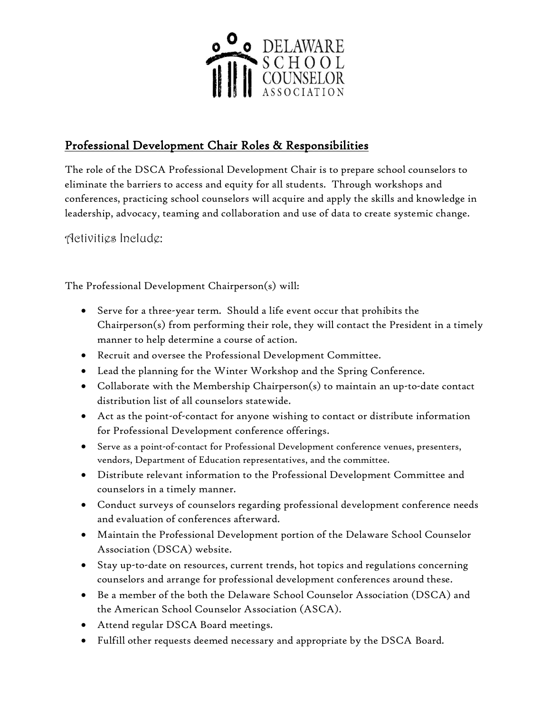

# Professional Development Chair Roles & Responsibilities

The role of the DSCA Professional Development Chair is to prepare school counselors to eliminate the barriers to access and equity for all students. Through workshops and conferences, practicing school counselors will acquire and apply the skills and knowledge in leadership, advocacy, teaming and collaboration and use of data to create systemic change.

Activities Include:

The Professional Development Chairperson(s) will:

- Serve for a three-year term. Should a life event occur that prohibits the Chairperson(s) from performing their role, they will contact the President in a timely manner to help determine a course of action.
- Recruit and oversee the Professional Development Committee.
- Lead the planning for the Winter Workshop and the Spring Conference.
- Collaborate with the Membership Chairperson(s) to maintain an up-to-date contact distribution list of all counselors statewide.
- Act as the point-of-contact for anyone wishing to contact or distribute information for Professional Development conference offerings.
- Serve as a point-of-contact for Professional Development conference venues, presenters, vendors, Department of Education representatives, and the committee.
- Distribute relevant information to the Professional Development Committee and counselors in a timely manner.
- Conduct surveys of counselors regarding professional development conference needs and evaluation of conferences afterward.
- Maintain the Professional Development portion of the Delaware School Counselor Association (DSCA) website.
- Stay up-to-date on resources, current trends, hot topics and regulations concerning counselors and arrange for professional development conferences around these.
- Be a member of the both the Delaware School Counselor Association (DSCA) and the American School Counselor Association (ASCA).
- Attend regular DSCA Board meetings.
- Fulfill other requests deemed necessary and appropriate by the DSCA Board.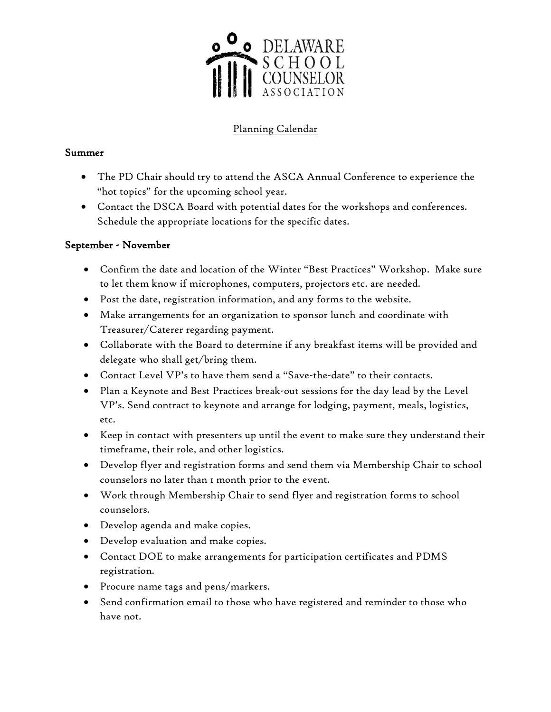

## Planning Calendar

#### Summer

- The PD Chair should try to attend the ASCA Annual Conference to experience the "hot topics" for the upcoming school year.
- Contact the DSCA Board with potential dates for the workshops and conferences. Schedule the appropriate locations for the specific dates.

#### September - November

- Confirm the date and location of the Winter "Best Practices" Workshop. Make sure to let them know if microphones, computers, projectors etc. are needed.
- Post the date, registration information, and any forms to the website.
- Make arrangements for an organization to sponsor lunch and coordinate with Treasurer/Caterer regarding payment.
- Collaborate with the Board to determine if any breakfast items will be provided and delegate who shall get/bring them.
- Contact Level VP's to have them send a "Save-the-date" to their contacts.
- Plan a Keynote and Best Practices break-out sessions for the day lead by the Level VP's. Send contract to keynote and arrange for lodging, payment, meals, logistics, etc.
- Keep in contact with presenters up until the event to make sure they understand their timeframe, their role, and other logistics.
- Develop flyer and registration forms and send them via Membership Chair to school counselors no later than 1 month prior to the event.
- Work through Membership Chair to send flyer and registration forms to school counselors.
- Develop agenda and make copies.
- Develop evaluation and make copies.
- Contact DOE to make arrangements for participation certificates and PDMS registration.
- Procure name tags and pens/markers.
- Send confirmation email to those who have registered and reminder to those who have not.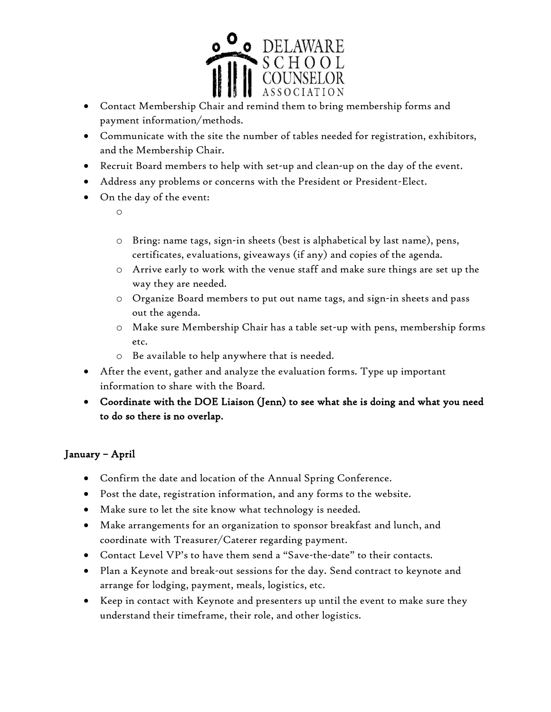

- Contact Membership Chair and remind them to bring membership forms and payment information/methods.
- Communicate with the site the number of tables needed for registration, exhibitors, and the Membership Chair.
- Recruit Board members to help with set-up and clean-up on the day of the event.
- Address any problems or concerns with the President or President-Elect.
- On the day of the event:
	- o
	- o Bring: name tags, sign-in sheets (best is alphabetical by last name), pens, certificates, evaluations, giveaways (if any) and copies of the agenda.
	- o Arrive early to work with the venue staff and make sure things are set up the way they are needed.
	- o Organize Board members to put out name tags, and sign-in sheets and pass out the agenda.
	- o Make sure Membership Chair has a table set-up with pens, membership forms etc.
	- o Be available to help anywhere that is needed.
- After the event, gather and analyze the evaluation forms. Type up important information to share with the Board.
- Coordinate with the DOE Liaison (Jenn) to see what she is doing and what you need to do so there is no overlap.

### January – April

- Confirm the date and location of the Annual Spring Conference.
- Post the date, registration information, and any forms to the website.
- Make sure to let the site know what technology is needed.
- Make arrangements for an organization to sponsor breakfast and lunch, and coordinate with Treasurer/Caterer regarding payment.
- Contact Level VP's to have them send a "Save-the-date" to their contacts.
- Plan a Keynote and break-out sessions for the day. Send contract to keynote and arrange for lodging, payment, meals, logistics, etc.
- Keep in contact with Keynote and presenters up until the event to make sure they understand their timeframe, their role, and other logistics.